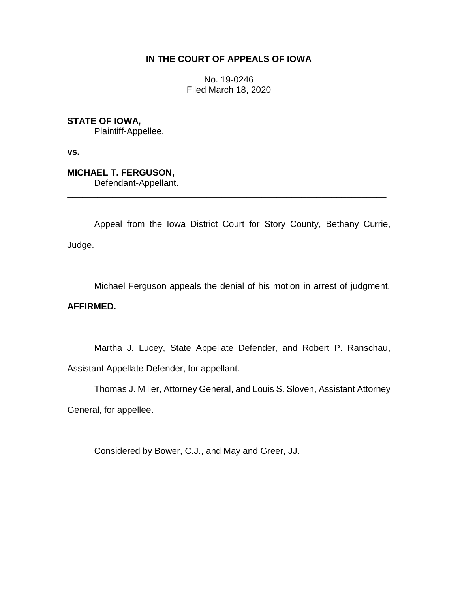# **IN THE COURT OF APPEALS OF IOWA**

No. 19-0246 Filed March 18, 2020

**STATE OF IOWA,**

Plaintiff-Appellee,

**vs.**

**MICHAEL T. FERGUSON,** Defendant-Appellant.

Appeal from the Iowa District Court for Story County, Bethany Currie, Judge.

\_\_\_\_\_\_\_\_\_\_\_\_\_\_\_\_\_\_\_\_\_\_\_\_\_\_\_\_\_\_\_\_\_\_\_\_\_\_\_\_\_\_\_\_\_\_\_\_\_\_\_\_\_\_\_\_\_\_\_\_\_\_\_\_

Michael Ferguson appeals the denial of his motion in arrest of judgment.

## **AFFIRMED.**

Martha J. Lucey, State Appellate Defender, and Robert P. Ranschau, Assistant Appellate Defender, for appellant.

Thomas J. Miller, Attorney General, and Louis S. Sloven, Assistant Attorney

General, for appellee.

Considered by Bower, C.J., and May and Greer, JJ.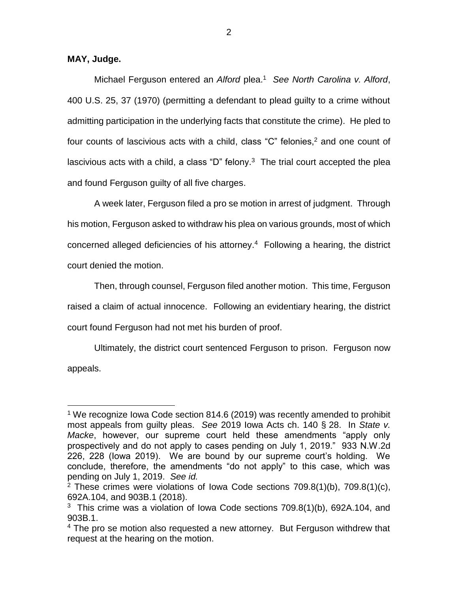**MAY, Judge.**

 $\overline{a}$ 

Michael Ferguson entered an *Alford* plea. 1 *See North Carolina v. Alford*, 400 U.S. 25, 37 (1970) (permitting a defendant to plead guilty to a crime without admitting participation in the underlying facts that constitute the crime). He pled to four counts of lascivious acts with a child, class "C" felonies, <sup>2</sup> and one count of lascivious acts with a child, a class "D" felony. $3$  The trial court accepted the plea and found Ferguson guilty of all five charges.

A week later, Ferguson filed a pro se motion in arrest of judgment. Through his motion, Ferguson asked to withdraw his plea on various grounds, most of which concerned alleged deficiencies of his attorney. 4 Following a hearing, the district court denied the motion.

Then, through counsel, Ferguson filed another motion. This time, Ferguson raised a claim of actual innocence. Following an evidentiary hearing, the district court found Ferguson had not met his burden of proof.

Ultimately, the district court sentenced Ferguson to prison. Ferguson now appeals.

<sup>&</sup>lt;sup>1</sup> We recognize Iowa Code section 814.6 (2019) was recently amended to prohibit most appeals from guilty pleas. *See* 2019 Iowa Acts ch. 140 § 28. In *State v. Macke*, however, our supreme court held these amendments "apply only prospectively and do not apply to cases pending on July 1, 2019." 933 N.W.2d 226, 228 (Iowa 2019). We are bound by our supreme court's holding. We conclude, therefore, the amendments "do not apply" to this case, which was pending on July 1, 2019. *See id.*

<sup>2</sup> These crimes were violations of Iowa Code sections 709.8(1)(b), 709.8(1)(c), 692A.104, and 903B.1 (2018).

<sup>&</sup>lt;sup>3</sup> This crime was a violation of Iowa Code sections  $709.8(1)(b)$ , 692A.104, and 903B.1.

 $4$  The pro se motion also requested a new attorney. But Ferguson withdrew that request at the hearing on the motion.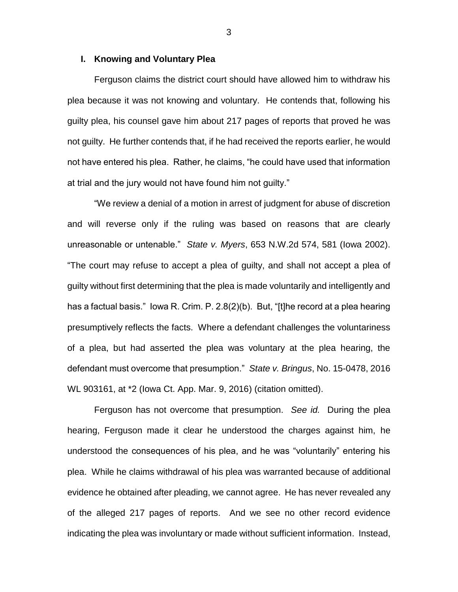#### **I. Knowing and Voluntary Plea**

Ferguson claims the district court should have allowed him to withdraw his plea because it was not knowing and voluntary. He contends that, following his guilty plea, his counsel gave him about 217 pages of reports that proved he was not guilty. He further contends that, if he had received the reports earlier, he would not have entered his plea. Rather, he claims, "he could have used that information at trial and the jury would not have found him not guilty."

"We review a denial of a motion in arrest of judgment for abuse of discretion and will reverse only if the ruling was based on reasons that are clearly unreasonable or untenable." *State v. Myers*, 653 N.W.2d 574, 581 (Iowa 2002). "The court may refuse to accept a plea of guilty, and shall not accept a plea of guilty without first determining that the plea is made voluntarily and intelligently and has a factual basis." Iowa R. Crim. P. 2.8(2)(b). But, "[t]he record at a plea hearing presumptively reflects the facts. Where a defendant challenges the voluntariness of a plea, but had asserted the plea was voluntary at the plea hearing, the defendant must overcome that presumption." *State v. Bringus*, No. 15-0478, 2016 WL 903161, at \*2 (Iowa Ct. App. Mar. 9, 2016) (citation omitted).

Ferguson has not overcome that presumption. *See id.* During the plea hearing, Ferguson made it clear he understood the charges against him, he understood the consequences of his plea, and he was "voluntarily" entering his plea. While he claims withdrawal of his plea was warranted because of additional evidence he obtained after pleading, we cannot agree. He has never revealed any of the alleged 217 pages of reports. And we see no other record evidence indicating the plea was involuntary or made without sufficient information. Instead,

3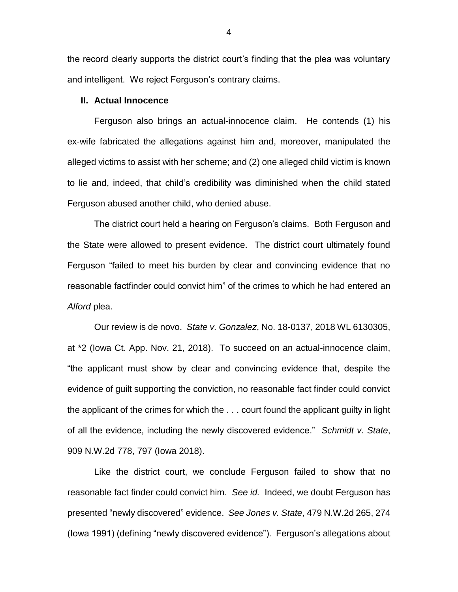the record clearly supports the district court's finding that the plea was voluntary and intelligent. We reject Ferguson's contrary claims.

### **II. Actual Innocence**

Ferguson also brings an actual-innocence claim. He contends (1) his ex-wife fabricated the allegations against him and, moreover, manipulated the alleged victims to assist with her scheme; and (2) one alleged child victim is known to lie and, indeed, that child's credibility was diminished when the child stated Ferguson abused another child, who denied abuse.

The district court held a hearing on Ferguson's claims. Both Ferguson and the State were allowed to present evidence. The district court ultimately found Ferguson "failed to meet his burden by clear and convincing evidence that no reasonable factfinder could convict him" of the crimes to which he had entered an *Alford* plea.

Our review is de novo. *State v. Gonzalez*, No. 18-0137, 2018 WL 6130305, at \*2 (Iowa Ct. App. Nov. 21, 2018). To succeed on an actual-innocence claim, "the applicant must show by clear and convincing evidence that, despite the evidence of guilt supporting the conviction, no reasonable fact finder could convict the applicant of the crimes for which the . . . court found the applicant guilty in light of all the evidence, including the newly discovered evidence." *Schmidt v. State*, 909 N.W.2d 778, 797 (Iowa 2018).

Like the district court, we conclude Ferguson failed to show that no reasonable fact finder could convict him. *See id.* Indeed, we doubt Ferguson has presented "newly discovered" evidence. *See Jones v. State*, 479 N.W.2d 265, 274 (Iowa 1991) (defining "newly discovered evidence"). Ferguson's allegations about